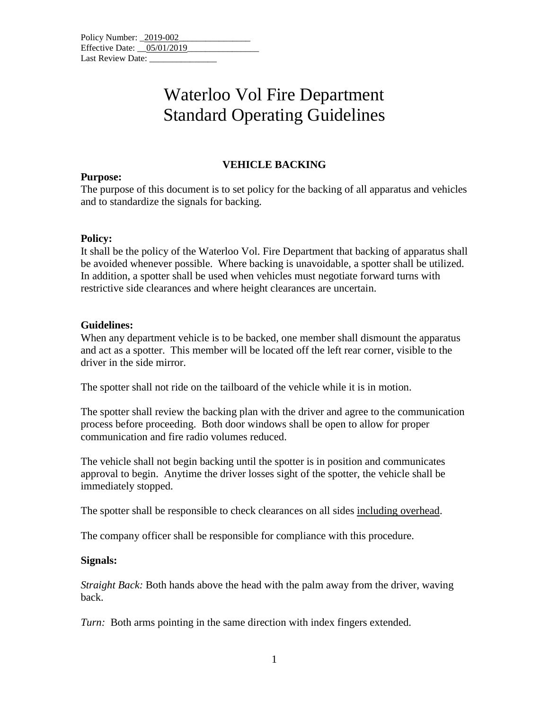| Policy Number: 2019-002      |  |  |
|------------------------------|--|--|
| Effective Date: $05/01/2019$ |  |  |
| Last Review Date:            |  |  |

## Waterloo Vol Fire Department Standard Operating Guidelines

### **VEHICLE BACKING**

#### **Purpose:**

The purpose of this document is to set policy for the backing of all apparatus and vehicles and to standardize the signals for backing.

#### **Policy:**

It shall be the policy of the Waterloo Vol. Fire Department that backing of apparatus shall be avoided whenever possible. Where backing is unavoidable, a spotter shall be utilized. In addition, a spotter shall be used when vehicles must negotiate forward turns with restrictive side clearances and where height clearances are uncertain.

#### **Guidelines:**

When any department vehicle is to be backed, one member shall dismount the apparatus and act as a spotter. This member will be located off the left rear corner, visible to the driver in the side mirror.

The spotter shall not ride on the tailboard of the vehicle while it is in motion.

The spotter shall review the backing plan with the driver and agree to the communication process before proceeding. Both door windows shall be open to allow for proper communication and fire radio volumes reduced.

The vehicle shall not begin backing until the spotter is in position and communicates approval to begin. Anytime the driver losses sight of the spotter, the vehicle shall be immediately stopped.

The spotter shall be responsible to check clearances on all sides including overhead.

The company officer shall be responsible for compliance with this procedure.

#### **Signals:**

*Straight Back:* Both hands above the head with the palm away from the driver, waving back.

*Turn:* Both arms pointing in the same direction with index fingers extended.